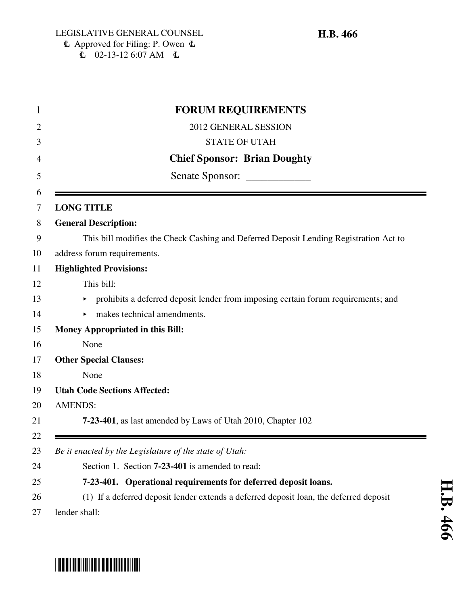| <b>FORUM REQUIREMENTS</b>                                                              |
|----------------------------------------------------------------------------------------|
| 2012 GENERAL SESSION                                                                   |
| <b>STATE OF UTAH</b>                                                                   |
| <b>Chief Sponsor: Brian Doughty</b>                                                    |
| Senate Sponsor: _____________                                                          |
| <b>LONG TITLE</b>                                                                      |
| <b>General Description:</b>                                                            |
| This bill modifies the Check Cashing and Deferred Deposit Lending Registration Act to  |
| address forum requirements.                                                            |
| <b>Highlighted Provisions:</b>                                                         |
| This bill:                                                                             |
| prohibits a deferred deposit lender from imposing certain forum requirements; and      |
| makes technical amendments.                                                            |
| <b>Money Appropriated in this Bill:</b>                                                |
| None                                                                                   |
| <b>Other Special Clauses:</b>                                                          |
| None                                                                                   |
| <b>Utah Code Sections Affected:</b>                                                    |
| <b>AMENDS:</b>                                                                         |
| 7-23-401, as last amended by Laws of Utah 2010, Chapter 102                            |
|                                                                                        |
| Be it enacted by the Legislature of the state of Utah:                                 |
| Section 1. Section <b>7-23-401</b> is amended to read:                                 |
| 7-23-401. Operational requirements for deferred deposit loans.                         |
| (1) If a deferred deposit lender extends a deferred deposit loan, the deferred deposit |
| lender shall:                                                                          |

# \*HB0466\*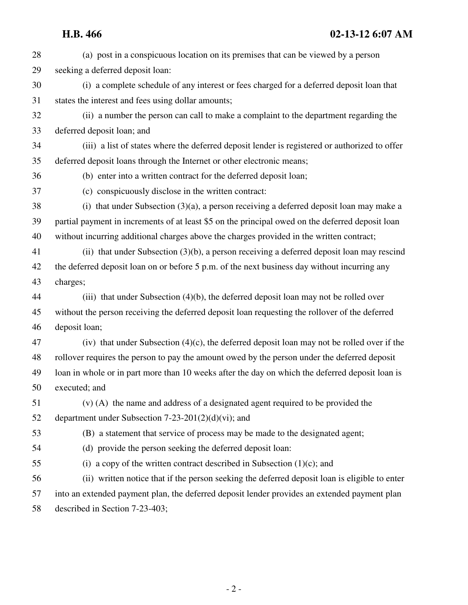| 28 | (a) post in a conspicuous location on its premises that can be viewed by a person                |
|----|--------------------------------------------------------------------------------------------------|
| 29 | seeking a deferred deposit loan:                                                                 |
| 30 | (i) a complete schedule of any interest or fees charged for a deferred deposit loan that         |
| 31 | states the interest and fees using dollar amounts;                                               |
| 32 | (ii) a number the person can call to make a complaint to the department regarding the            |
| 33 | deferred deposit loan; and                                                                       |
| 34 | (iii) a list of states where the deferred deposit lender is registered or authorized to offer    |
| 35 | deferred deposit loans through the Internet or other electronic means;                           |
| 36 | (b) enter into a written contract for the deferred deposit loan;                                 |
| 37 | (c) conspicuously disclose in the written contract:                                              |
| 38 | (i) that under Subsection $(3)(a)$ , a person receiving a deferred deposit loan may make a       |
| 39 | partial payment in increments of at least \$5 on the principal owed on the deferred deposit loan |
| 40 | without incurring additional charges above the charges provided in the written contract;         |
| 41 | (ii) that under Subsection (3)(b), a person receiving a deferred deposit loan may rescind        |
| 42 | the deferred deposit loan on or before 5 p.m. of the next business day without incurring any     |
| 43 | charges;                                                                                         |
| 44 | (iii) that under Subsection $(4)(b)$ , the deferred deposit loan may not be rolled over          |
| 45 | without the person receiving the deferred deposit loan requesting the rollover of the deferred   |
| 46 | deposit loan;                                                                                    |
| 47 | (iv) that under Subsection $(4)(c)$ , the deferred deposit loan may not be rolled over if the    |
| 48 | rollover requires the person to pay the amount owed by the person under the deferred deposit     |
| 49 | loan in whole or in part more than 10 weeks after the day on which the deferred deposit loan is  |
| 50 | executed; and                                                                                    |
| 51 | (v) (A) the name and address of a designated agent required to be provided the                   |
| 52 | department under Subsection $7-23-201(2)(d)(vi)$ ; and                                           |
| 53 | (B) a statement that service of process may be made to the designated agent;                     |
| 54 | (d) provide the person seeking the deferred deposit loan:                                        |
| 55 | (i) a copy of the written contract described in Subsection $(1)(c)$ ; and                        |
| 56 | (ii) written notice that if the person seeking the deferred deposit loan is eligible to enter    |
| 57 | into an extended payment plan, the deferred deposit lender provides an extended payment plan     |
| 58 | described in Section 7-23-403;                                                                   |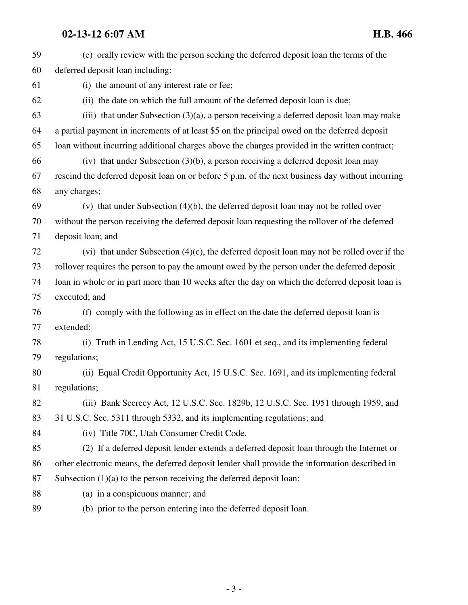# **02-13-12 6:07 AM H.B. 466**

| 59 | (e) orally review with the person seeking the deferred deposit loan the terms of the             |
|----|--------------------------------------------------------------------------------------------------|
| 60 | deferred deposit loan including:                                                                 |
| 61 | (i) the amount of any interest rate or fee;                                                      |
| 62 | (ii) the date on which the full amount of the deferred deposit loan is due;                      |
| 63 | (iii) that under Subsection $(3)(a)$ , a person receiving a deferred deposit loan may make       |
| 64 | a partial payment in increments of at least \$5 on the principal owed on the deferred deposit    |
| 65 | loan without incurring additional charges above the charges provided in the written contract;    |
| 66 | (iv) that under Subsection $(3)(b)$ , a person receiving a deferred deposit loan may             |
| 67 | rescind the deferred deposit loan on or before 5 p.m. of the next business day without incurring |
| 68 | any charges;                                                                                     |
| 69 | (v) that under Subsection $(4)(b)$ , the deferred deposit loan may not be rolled over            |
| 70 | without the person receiving the deferred deposit loan requesting the rollover of the deferred   |
| 71 | deposit loan; and                                                                                |
| 72 | (vi) that under Subsection $(4)(c)$ , the deferred deposit loan may not be rolled over if the    |
| 73 | rollover requires the person to pay the amount owed by the person under the deferred deposit     |
| 74 | loan in whole or in part more than 10 weeks after the day on which the deferred deposit loan is  |
| 75 | executed; and                                                                                    |
| 76 | (f) comply with the following as in effect on the date the deferred deposit loan is              |
| 77 | extended:                                                                                        |
| 78 | Truth in Lending Act, 15 U.S.C. Sec. 1601 et seq., and its implementing federal<br>(i)           |
| 79 | regulations;                                                                                     |
| 80 | (ii) Equal Credit Opportunity Act, 15 U.S.C. Sec. 1691, and its implementing federal             |
| 81 | regulations;                                                                                     |
| 82 | (iii) Bank Secrecy Act, 12 U.S.C. Sec. 1829b, 12 U.S.C. Sec. 1951 through 1959, and              |
| 83 | 31 U.S.C. Sec. 5311 through 5332, and its implementing regulations; and                          |
| 84 | (iv) Title 70C, Utah Consumer Credit Code.                                                       |
| 85 | (2) If a deferred deposit lender extends a deferred deposit loan through the Internet or         |
| 86 | other electronic means, the deferred deposit lender shall provide the information described in   |
| 87 | Subsection $(1)(a)$ to the person receiving the deferred deposit loan:                           |
| 88 | (a) in a conspicuous manner; and                                                                 |
| 89 | (b) prior to the person entering into the deferred deposit loan.                                 |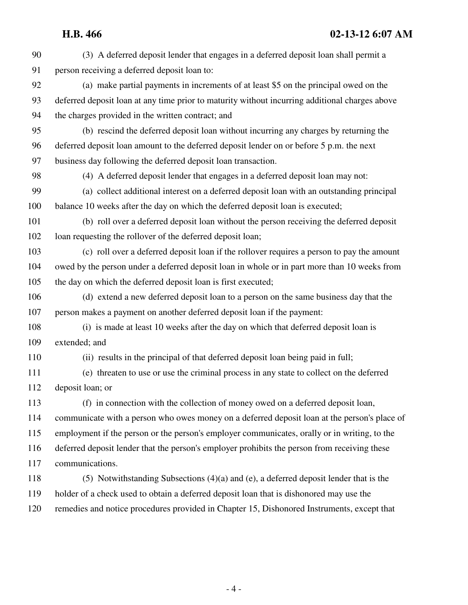# **H.B. 466 02-13-12 6:07 AM**

| 90  | (3) A deferred deposit lender that engages in a deferred deposit loan shall permit a           |
|-----|------------------------------------------------------------------------------------------------|
| 91  | person receiving a deferred deposit loan to:                                                   |
| 92  | (a) make partial payments in increments of at least \$5 on the principal owed on the           |
| 93  | deferred deposit loan at any time prior to maturity without incurring additional charges above |
| 94  | the charges provided in the written contract; and                                              |
| 95  | (b) rescind the deferred deposit loan without incurring any charges by returning the           |
| 96  | deferred deposit loan amount to the deferred deposit lender on or before 5 p.m. the next       |
| 97  | business day following the deferred deposit loan transaction.                                  |
| 98  | (4) A deferred deposit lender that engages in a deferred deposit loan may not:                 |
| 99  | (a) collect additional interest on a deferred deposit loan with an outstanding principal       |
| 100 | balance 10 weeks after the day on which the deferred deposit loan is executed;                 |
| 101 | (b) roll over a deferred deposit loan without the person receiving the deferred deposit        |
| 102 | loan requesting the rollover of the deferred deposit loan;                                     |
| 103 | (c) roll over a deferred deposit loan if the rollover requires a person to pay the amount      |
| 104 | owed by the person under a deferred deposit loan in whole or in part more than 10 weeks from   |
| 105 | the day on which the deferred deposit loan is first executed;                                  |
| 106 | (d) extend a new deferred deposit loan to a person on the same business day that the           |
| 107 | person makes a payment on another deferred deposit loan if the payment:                        |
| 108 | (i) is made at least 10 weeks after the day on which that deferred deposit loan is             |
| 109 | extended; and                                                                                  |
| 110 | (ii) results in the principal of that deferred deposit loan being paid in full;                |
| 111 | (e) threaten to use or use the criminal process in any state to collect on the deferred        |
| 112 | deposit loan; or                                                                               |
| 113 | (f) in connection with the collection of money owed on a deferred deposit loan,                |
| 114 | communicate with a person who owes money on a deferred deposit loan at the person's place of   |
| 115 | employment if the person or the person's employer communicates, orally or in writing, to the   |
| 116 | deferred deposit lender that the person's employer prohibits the person from receiving these   |
| 117 | communications.                                                                                |
| 118 | $(5)$ Notwithstanding Subsections $(4)(a)$ and $(e)$ , a deferred deposit lender that is the   |
| 119 | holder of a check used to obtain a deferred deposit loan that is dishonored may use the        |
| 120 | remedies and notice procedures provided in Chapter 15, Dishonored Instruments, except that     |
|     |                                                                                                |